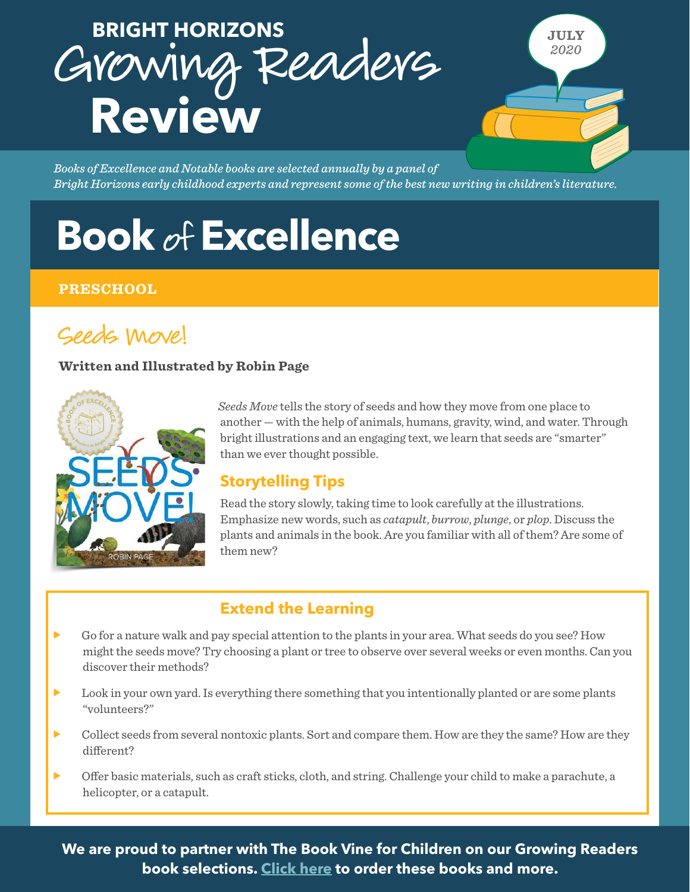# Growing Readers **Review BRIGHT HORIZONS**

*Books of Excellence and Notable books are selected annually by a panel of Bright Horizons early childhood experts and represent some of the best new writing in children's literature.*

# **Book of Excellence**

### **PRESCHOOL**

# Seeds Move!

#### **Written and Illustrated by Robin Page**



*Seeds Move* tells the story of seeds and how they move from one place to another — with the help of animals, humans, gravity, wind, and water. Through bright illustrations and an engaging text, we learn that seeds are "smarter" than we ever thought possible.

**JULY** *2020*

# **Storytelling Tips**

Read the story slowly, taking time to look carefully at the illustrations. Emphasize new words, such as *catapult*, *burrow*, *plunge*, or *plop*. Discuss the plants and animals in the book. Are you familiar with all of them? Are some of them new?

## **Extend the Learning**

- f Go for a nature walk and pay special attention to the plants in your area. What seeds do you see? How might the seeds move? Try choosing a plant or tree to observe over several weeks or even months. Can you discover their methods?
- Look in your own yard. Is everything there something that you intentionally planted or are some plants "volunteers?"
- **F** Collect seeds from several nontoxic plants. Sort and compare them. How are they the same? How are they different?
- **For Offer basic materials, such as craft sticks, cloth, and string. Challenge your child to make a parachute, a** helicopter, or a catapult.

**We are proud to partner with The Book Vine for Children on our Growing Readers book selections. [Click here](https://protect-us.mimecast.com/s/qOBaCBBX3gIBnr6Ys6W13o?domain=accordion-round-drma.squarespace.com/) to order these books and more.**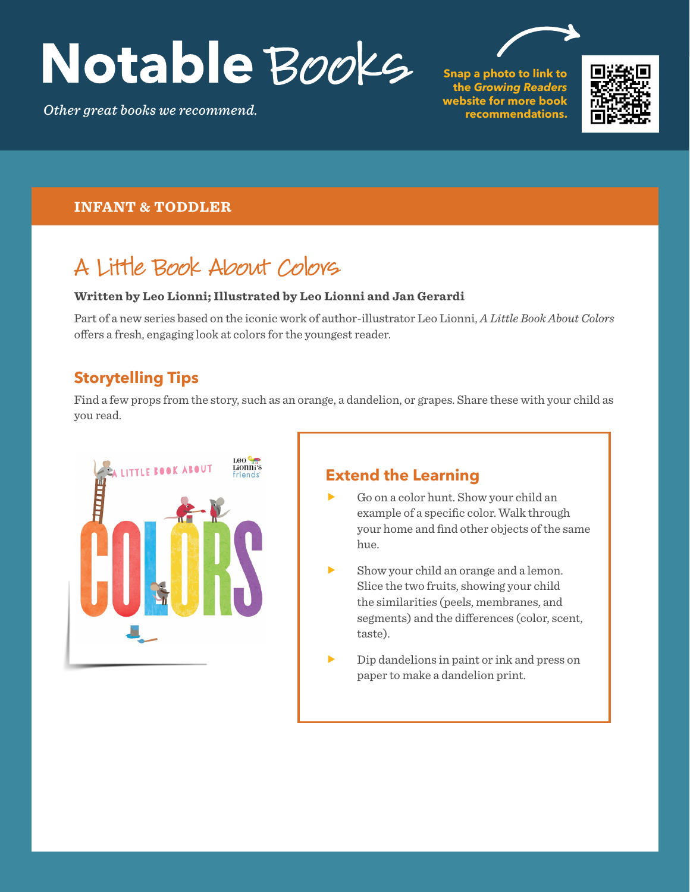# Notable Books

*Other great books we recommend.*

**Snap a photo to link to the** *Growing Readers*  **website for more book recommendations.**



#### **INFANT & TODDLER**

# A Little Book About Colors

#### **Written by Leo Lionni; Illustrated by Leo Lionni and Jan Gerardi**

Part of a new series based on the iconic work of author-illustrator Leo Lionni, *A Little Book About Colors*  offers a fresh, engaging look at colors for the youngest reader.

## **Storytelling Tips**

Find a few props from the story, such as an orange, a dandelion, or grapes. Share these with your child as you read.



# **Extend the Learning**

- Go on a color hunt. Show your child an example of a specific color. Walk through your home and find other objects of the same hue.
- Show your child an orange and a lemon. Slice the two fruits, showing your child the similarities (peels, membranes, and segments) and the differences (color, scent, taste).
- Dip dandelions in paint or ink and press on paper to make a dandelion print.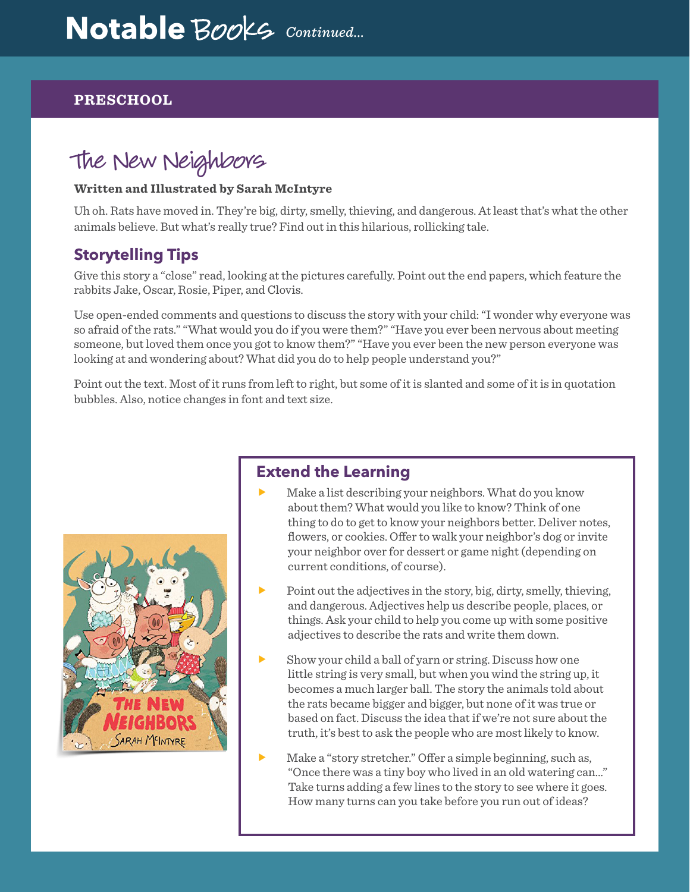#### **PRESCHOOL**

# The New Neighbors

#### **Written and Illustrated by Sarah McIntyre**

Uh oh. Rats have moved in. They're big, dirty, smelly, thieving, and dangerous. At least that's what the other animals believe. But what's really true? Find out in this hilarious, rollicking tale.

## **Storytelling Tips**

Give this story a "close" read, looking at the pictures carefully. Point out the end papers, which feature the rabbits Jake, Oscar, Rosie, Piper, and Clovis.

Use open-ended comments and questions to discuss the story with your child: "I wonder why everyone was so afraid of the rats." "What would you do if you were them?" "Have you ever been nervous about meeting someone, but loved them once you got to know them?" "Have you ever been the new person everyone was looking at and wondering about? What did you do to help people understand you?"

Point out the text. Most of it runs from left to right, but some of it is slanted and some of it is in quotation bubbles. Also, notice changes in font and text size.



## **Extend the Learning**

- Make a list describing your neighbors. What do you know about them? What would you like to know? Think of one thing to do to get to know your neighbors better. Deliver notes, flowers, or cookies. Offer to walk your neighbor's dog or invite your neighbor over for dessert or game night (depending on current conditions, of course).
- f Point out the adjectives in the story, big, dirty, smelly, thieving, and dangerous. Adjectives help us describe people, places, or things. Ask your child to help you come up with some positive adjectives to describe the rats and write them down.
- f Show your child a ball of yarn or string. Discuss how one little string is very small, but when you wind the string up, it becomes a much larger ball. The story the animals told about the rats became bigger and bigger, but none of it was true or based on fact. Discuss the idea that if we're not sure about the truth, it's best to ask the people who are most likely to know.
- Make a "story stretcher." Offer a simple beginning, such as, "Once there was a tiny boy who lived in an old watering can…" Take turns adding a few lines to the story to see where it goes. How many turns can you take before you run out of ideas?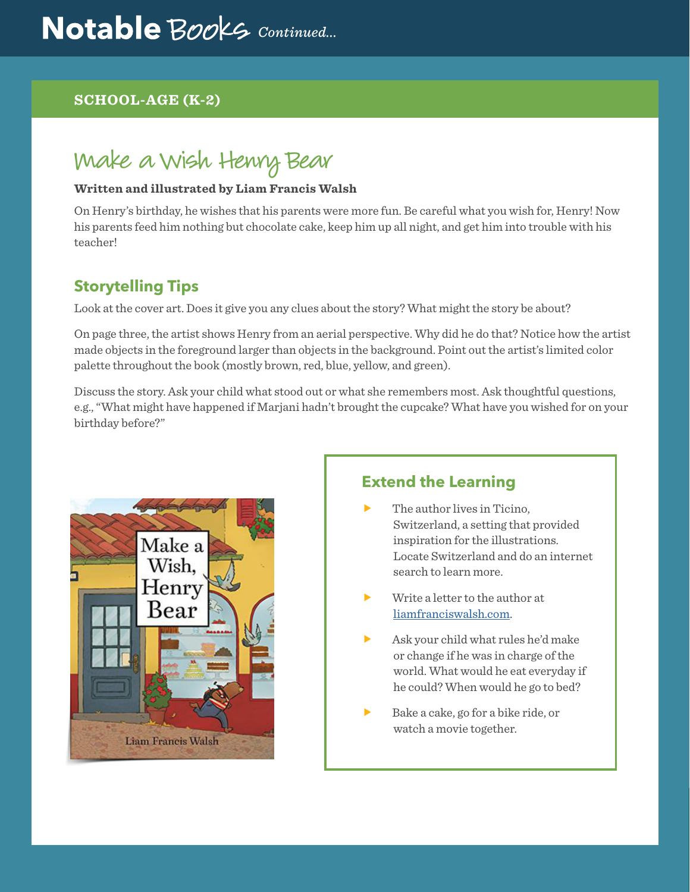## **SCHOOL-AGE (K-2)**

# Make a Wish Henry Bear

#### **Written and illustrated by Liam Francis Walsh**

On Henry's birthday, he wishes that his parents were more fun. Be careful what you wish for, Henry! Now his parents feed him nothing but chocolate cake, keep him up all night, and get him into trouble with his teacher!

# **Storytelling Tips**

Look at the cover art. Does it give you any clues about the story? What might the story be about?

On page three, the artist shows Henry from an aerial perspective. Why did he do that? Notice how the artist made objects in the foreground larger than objects in the background. Point out the artist's limited color palette throughout the book (mostly brown, red, blue, yellow, and green).

Discuss the story. Ask your child what stood out or what she remembers most. Ask thoughtful questions, e.g., "What might have happened if Marjani hadn't brought the cupcake? What have you wished for on your birthday before?"



## **Extend the Learning**

- The author lives in Ticino. Switzerland, a setting that provided inspiration for the illustrations. Locate Switzerland and do an internet search to learn more.
- Write a letter to the author at [liamfranciswalsh.com.](http://www.liamfranciswalsh.com)
- f Ask your child what rules he'd make or change if he was in charge of the world. What would he eat everyday if he could? When would he go to bed?
- f Bake a cake, go for a bike ride, or watch a movie together.